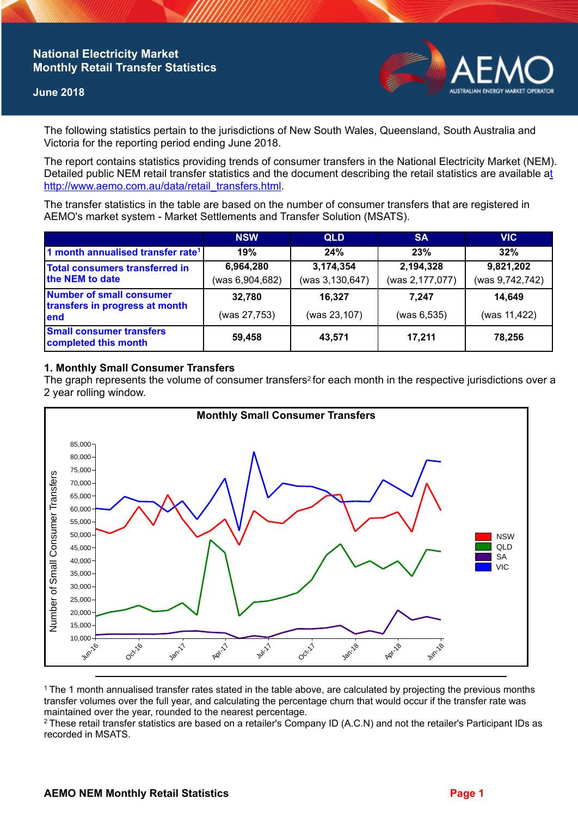# **National Electricity Market Monthly Retail Transfer Statistics**

#### **June 2018**



The following statistics pertain to the jurisdictions of New South Wales, Queensland, South Australia and Victoria for the reporting period ending June 2018.

The report contains statistics providing trends of consumer transfers in the National Electricity Market (NEM). Detailed public NEM retail transfer statistics and the document describing the retail statistics are available a[t](http://www.aemo.com.au/data/retail_transfers.html)  http://www.aemo.com.au/data/retail\_transfers.html

The transfer statistics in the table are based on the number of consumer transfers that are registered in AEMO's market system - Market Settlements and Transfer Solution (MSATS).

|                                                                    | <b>NSW</b>                   | <b>QLD</b>                   | <b>SA</b>                    | <b>VIC</b>                   |
|--------------------------------------------------------------------|------------------------------|------------------------------|------------------------------|------------------------------|
| 1 month annualised transfer rate <sup>1</sup>                      | 19%                          | 24%                          | 23%                          | 32%                          |
| Total consumers transferred in<br>the NEM to date                  | 6,964,280<br>(was 6,904,682) | 3,174,354<br>(was 3,130,647) | 2,194,328<br>(was 2,177,077) | 9,821,202<br>(was 9,742,742) |
| Number of small consumer<br>transfers in progress at month<br>lend | 32,780<br>(was 27,753)       | 16,327<br>(was 23,107)       | 7.247<br>(was 6, 535)        | 14,649<br>(was 11,422)       |
| <b>Small consumer transfers</b><br>completed this month            | 59,458                       | 43,571                       | 17.211                       | 78,256                       |

### **1. Monthly Small Consumer Transfers**

The graph represents the volume of consumer transfers<sup>2</sup> for each month in the respective jurisdictions over a 2 year rolling window.



<sup>1</sup>The 1 month annualised transfer rates stated in the table above, are calculated by projecting the previous months transfer volumes over the full year, and calculating the percentage churn that would occur if the transfer rate was maintained over the year, rounded to the nearest percentage.

<sup>2</sup> These retail transfer statistics are based on a retailer's Company ID (A.C.N) and not the retailer's Participant IDs as recorded in MSATS.